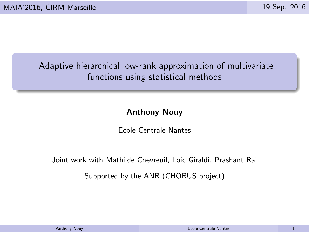# Adaptive hierarchical low-rank approximation of multivariate functions using statistical methods

# Anthony Nouy

Ecole Centrale Nantes

Joint work with Mathilde Chevreuil, Loic Giraldi, Prashant Rai

Supported by the ANR (CHORUS project)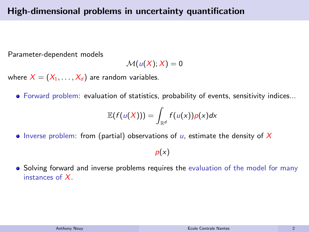Parameter-dependent models

$$
\mathcal{M}(u(X);X)=0
$$

where  $X = (X_1, \ldots, X_d)$  are random variables.

Forward problem: evaluation of statistics, probability of events, sensitivity indices...

$$
\mathbb{E}(f(u(X))) = \int_{\mathbb{R}^d} f(u(x))p(x)dx
$$

 $\bullet$  Inverse problem: from (partial) observations of  $\mu$ , estimate the density of X

 $p(x)$ 

• Solving forward and inverse problems requires the evaluation of the model for many instances of X.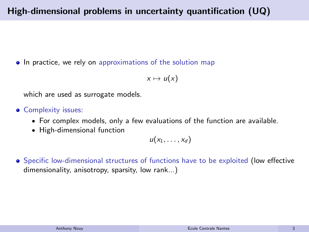• In practice, we rely on approximations of the solution map

 $x \mapsto u(x)$ 

which are used as surrogate models.

- **Complexity issues:** 
	- For complex models, only a few evaluations of the function are available.
	- High-dimensional function

 $u(x_1, \ldots, x_d)$ 

**Specific low-dimensional structures of functions have to be exploited (low effective** dimensionality, anisotropy, sparsity, low rank...)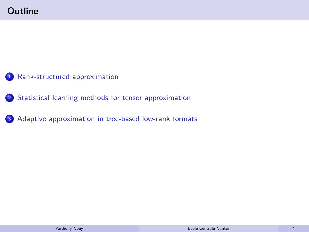- 1 [Rank-structured approximation](#page-4-0)
- 2 [Statistical learning methods for tensor approximation](#page-13-0)
- <sup>3</sup> [Adaptive approximation in tree-based low-rank formats](#page-24-0)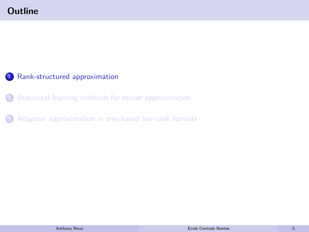# <span id="page-4-0"></span>**Outline**

# 1 [Rank-structured approximation](#page-4-0)

<sup>2</sup> [Statistical learning methods for tensor approximation](#page-13-0)

<sup>3</sup> [Adaptive approximation in tree-based low-rank formats](#page-24-0)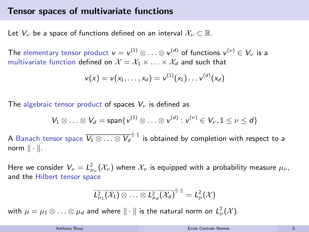#### Tensor spaces of multivariate functions

Let  $V_{\nu}$  be a space of functions defined on an interval  $\mathcal{X}_{\nu} \subset \mathbb{R}$ .

The elementary tensor product  $v = v^{(1)} \otimes \ldots \otimes v^{(d)}$  of functions  $v^{(\nu)} \in V_{\nu}$  is a multivariate function defined on  $\mathcal{X} = \mathcal{X}_1 \times \ldots \times \mathcal{X}_d$  and such that

$$
v(x) = v(x_1, \ldots, x_d) = v^{(1)}(x_1) \ldots v^{(d)}(x_d)
$$

The algebraic tensor product of spaces  $V_{\nu}$  is defined as

$$
V_1 \otimes \ldots \otimes V_d = \text{span}\{v^{(1)} \otimes \ldots \otimes v^{(d)} : v^{(\nu)} \in V_{\nu}, 1 \leq \nu \leq d\}
$$

A Banach tensor space  $\overline{V_1 \otimes \ldots \otimes V_d}^{\|\cdot\|}$  is obtained by completion with respect to a norm  $\|\cdot\|$ .

Here we consider  $V_\nu = L^2_{\mu_\nu}(\mathcal{X}_\nu)$  where  $\mathcal{X}_\nu$  is equipped with a probability measure  $\mu_\nu$ , and the Hilbert tensor space

$$
\overline{L_{\mu_1}^2(\mathcal{X}_1)\otimes\ldots\otimes L_{\mu_d}^2(\mathcal{X}_d)}^{\|\cdot\|}=L_{\mu}^2(\mathcal{X})
$$

with  $\mu=\mu_1\otimes\ldots\otimes\mu_d$  and where  $\|\cdot\|$  is the natural norm on  $\mathcal{L}^2_\mu(\mathcal{X})$ .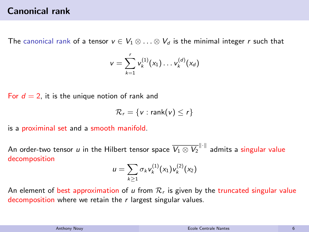## Canonical rank

The canonical rank of a tensor  $v \in V_1 \otimes \ldots \otimes V_d$  is the minimal integer r such that

$$
v = \sum_{k=1}^r v_k^{(1)}(x_1) \dots v_k^{(d)}(x_d)
$$

For  $d = 2$ , it is the unique notion of rank and

$$
\mathcal{R}_r = \{v : \text{rank}(v) \leq r\}
$$

is a proximinal set and a smooth manifold.

An order-two tensor  $u$  in the Hilbert tensor space  $\overline{V_1 \otimes V_2}^{\|\cdot\|}$  admits a singular value decomposition

$$
u=\sum_{k\geq 1}\sigma_k v_k^{(1)}(x_1)v_k^{(2)}(x_2)
$$

An element of best approximation of u from  $\mathcal{R}_r$  is given by the truncated singular value decomposition where we retain the  $r$  largest singular values.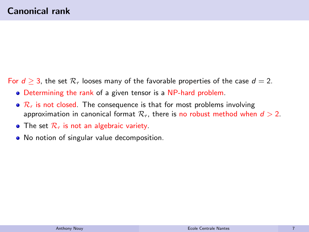For  $d \geq 3$ , the set  $\mathcal{R}_r$  looses many of the favorable properties of the case  $d = 2$ .

- Determining the rank of a given tensor is a NP-hard problem.
- $\bullet$   $\mathcal{R}_r$  is not closed. The consequence is that for most problems involving approximation in canonical format  $\mathcal{R}_r$ , there is no robust method when  $d > 2$ .
- $\bullet$  The set  $\mathcal{R}_r$  is not an algebraic variety.
- No notion of singular value decomposition.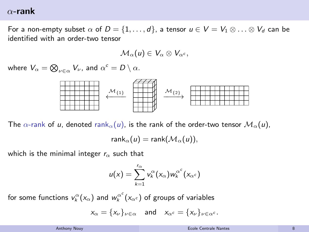#### $\alpha$ -rank

For a non-empty subset  $\alpha$  of  $D = \{1, \ldots, d\}$ , a tensor  $u \in V = V_1 \otimes \ldots \otimes V_d$  can be identified with an order-two tensor

$$
\mathcal{M}_\alpha(\mathsf{u}) \in \mathsf{V}_\alpha \otimes \mathsf{V}_{\alpha^c},
$$

where  $V_\alpha = \bigotimes_{\nu \in \alpha} V_\nu$ , and  $\alpha^c = D \setminus \alpha$ .



The  $\alpha$ -rank of u, denoted rank $_{\alpha}(u)$ , is the rank of the order-two tensor  $\mathcal{M}_{\alpha}(u)$ ,

$$
\mathsf{rank}_{\alpha}(u) = \mathsf{rank}(\mathcal{M}_{\alpha}(u)),
$$

which is the minimal integer  $r_{\alpha}$  such that

$$
u(x) = \sum_{k=1}^{r_{\alpha}} v_k^{\alpha}(x_{\alpha}) w_k^{\alpha^c}(x_{\alpha^c})
$$

for some functions  $v^{\alpha}_{k} ( \mathsf{x}_{\alpha})$  and  $w^{\alpha^{c}}_{k} ( \mathsf{x}_{\alpha^{c}})$  of groups of variables

 $x_{\alpha} = \{x_{\nu}\}_{\nu \in \alpha}$  and  $x_{\alpha} = \{x_{\nu}\}_{\nu \in \alpha^{c}}$ .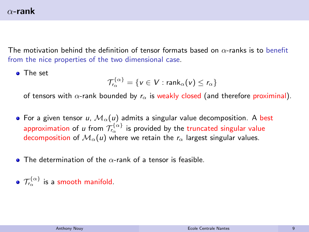# $\alpha$ -rank

The motivation behind the definition of tensor formats based on  $\alpha$ -ranks is to benefit from the nice properties of the two dimensional case.

**o** The set

$$
\mathcal{T}_{r_\alpha}^{\{\alpha\}} = \{v \in V : \mathsf{rank}_{\alpha}(v) \leq r_\alpha\}
$$

of tensors with  $\alpha$ -rank bounded by  $r_{\alpha}$  is weakly closed (and therefore proximinal).

- For a given tensor u,  $\mathcal{M}_{\alpha}(u)$  admits a singular value decomposition. A best approximation of  $u$  from  $\mathcal{T}_{\tau_{\alpha}}^{\{\alpha\}}$  is provided by the truncated singular value decomposition of  $\mathcal{M}_{\alpha}(u)$  where we retain the  $r_{\alpha}$  largest singular values.
- $\bullet$  The determination of the  $\alpha$ -rank of a tensor is feasible.
- $\mathcal{T}_{r_\alpha}^{\{\alpha\}}$  is a smooth manifold.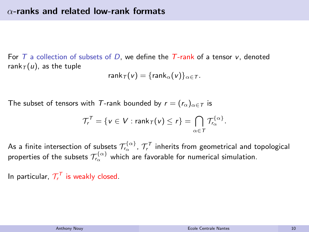For T a collection of subsets of D, we define the T-rank of a tensor  $v$ , denoted rank $\tau(u)$ , as the tuple

$$
rank_{\mathcal{T}}(v) = \{rank_{\alpha}(v)\}_{\alpha \in \mathcal{T}}.
$$

The subset of tensors with T-rank bounded by  $r = (r_{\alpha})_{\alpha \in \mathcal{T}}$  is

$$
\mathcal{T}_r^T = \{ v \in V : \text{rank}_{\mathcal{T}}(v) \leq r \} = \bigcap_{\alpha \in \mathcal{T}} \mathcal{T}_{r_\alpha}^{\{\alpha\}}.
$$

As a finite intersection of subsets  $\mathcal{T}^{ \{\alpha \}}_{\tau_\alpha}$  ,  $\mathcal{T}^\mathcal{T}_r$  inherits from geometrical and topological properties of the subsets  $\mathcal{T}_{\tau_\alpha}^{\{\alpha\}}$  which are favorable for numerical simulation.

In particular,  $\mathcal{T}_{r}^{\mathcal{T}}$  is weakly closed.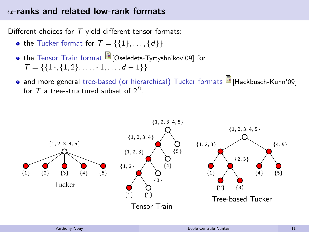## $\alpha$ -ranks and related low-rank formats

Different choices for  $T$  yield different tensor formats:

- the Tucker format for  $T = \{\{1\}, \ldots, \{d\}\}\$
- the Tensor Train format **D** [Oseledets-Tyrtyshnikov'09] for  $T = \{\{1\}, \{1, 2\}, \ldots, \{1, \ldots, d-1\}\}\$
- and more general tree-based (or hierarchical) Tucker formats **[B**]Hackbusch-Kuhn'09] for  $T$  a tree-structured subset of  $2^D$ .

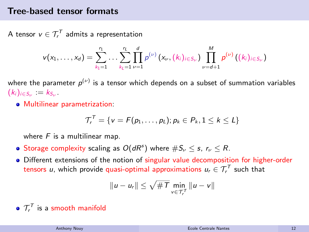#### Tree-based tensor formats

A tensor  $v \in \mathcal{T}^\mathcal{T}_r$  admits a representation

$$
v(x_1,\ldots,x_d)=\sum_{k_1=1}^{r_1}\ldots\sum_{k_l=1}^{r_l}\prod_{\nu=1}^d p^{(\nu)}\left(x_{\nu},(k_i)_{i\in S_{\nu}}\right)\prod_{\nu=d+1}^M p^{(\nu)}\left((k_i)_{i\in S_{\nu}}\right)
$$

where the parameter  $\rho^{(\nu)}$  is a tensor which depends on a subset of summation variables  $(k_i)_{i \in S_{\nu}} := k_{S_{\nu}}$ 

Multilinear parametrization:

$$
\mathcal{T}_r^T = \{v = F(p_1,\ldots,p_L); p_k \in P_k, 1 \leq k \leq L\}
$$

where  $F$  is a multilinear map.

- Storage complexity scaling as  $O(dR^s)$  where  $\#S_{\nu}\leq s$ ,  $r_{\nu}\leq R$ .
- Different extensions of the notion of singular value decomposition for higher-order tensors  $u$ , which provide quasi-optimal approximations  $u_{\mathsf{r}}\in \mathcal{T}^\mathcal{T}_\mathsf{r}$  such that

$$
||u - u_r|| \leq \sqrt{\#T} \min_{v \in \mathcal{T}_r^T} ||u - v||
$$

 $\mathcal{T}^{\mathcal{T}}_r$  is a smooth manifold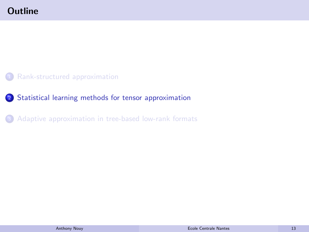- <span id="page-13-0"></span><sup>1</sup> [Rank-structured approximation](#page-4-0)
- 2 [Statistical learning methods for tensor approximation](#page-13-0)
- <sup>3</sup> [Adaptive approximation in tree-based low-rank formats](#page-24-0)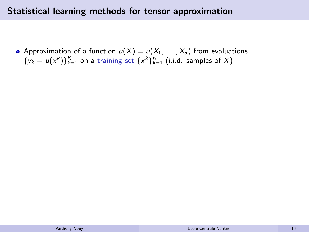## Statistical learning methods for tensor approximation

• Approximation of a function  $u(X) = u(X_1, \ldots, X_d)$  from evaluations  $\{y_k = u(x^k)\}_{k=1}^K$  on a training set  $\{x^k\}_{k=1}^K$  (i.i.d. samples of X)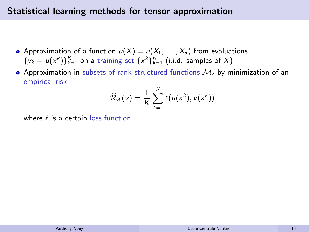# Statistical learning methods for tensor approximation

- Approximation of a function  $u(X) = u(X_1, \ldots, X_d)$  from evaluations  $\{y_k = u(x^k)\}_{k=1}^K$  on a training set  $\{x^k\}_{k=1}^K$  (i.i.d. samples of X)
- Approximation in subsets of rank-structured functions  $M<sub>r</sub>$  by minimization of an empirical risk

$$
\widehat{\mathcal{R}}_K(v) = \frac{1}{K} \sum_{k=1}^K \ell(u(x^k), v(x^k))
$$

where  $\ell$  is a certain loss function.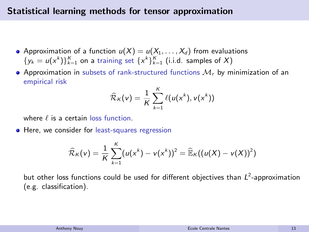## Statistical learning methods for tensor approximation

- Approximation of a function  $u(X) = u(X_1, \ldots, X_d)$  from evaluations  $\{y_k = u(x^k)\}_{k=1}^K$  on a training set  $\{x^k\}_{k=1}^K$  (i.i.d. samples of X)
- Approximation in subsets of rank-structured functions  $M<sub>r</sub>$  by minimization of an empirical risk

$$
\widehat{\mathcal{R}}_K(v) = \frac{1}{K} \sum_{k=1}^K \ell(u(x^k), v(x^k))
$$

where  $\ell$  is a certain loss function.

**• Here, we consider for least-squares regression** 

$$
\widehat{\mathcal{R}}_{K}(v) = \frac{1}{K} \sum_{k=1}^{K} (u(x^{k}) - v(x^{k}))^{2} = \widehat{\mathbb{E}}_{K}((u(X) - v(X))^{2})
$$

but other loss functions could be used for different objectives than  $L^2$ -approximation (e.g. classification).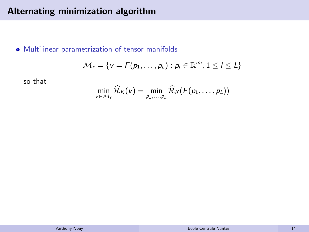Multilinear parametrization of tensor manifolds

$$
\mathcal{M}_r = \{v = F(p_1,\ldots,p_L) : p_l \in \mathbb{R}^{m_l}, 1 \leq l \leq L\}
$$

so that

$$
\min_{v \in \mathcal{M}_r} \widehat{\mathcal{R}}_K(v) = \min_{p_1, \dots, p_L} \widehat{\mathcal{R}}_K(F(p_1, \dots, p_L))
$$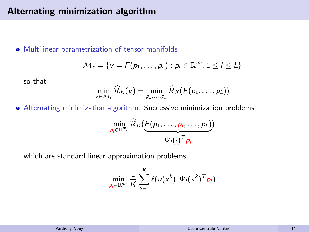Multilinear parametrization of tensor manifolds

$$
\mathcal{M}_r = \{v = F(p_1, \ldots, p_L) : p_l \in \mathbb{R}^{m_l}, 1 \leq l \leq L\}
$$

so that

$$
\min_{v \in \mathcal{M}_r} \widehat{\mathcal{R}}_K(v) = \min_{p_1, \dots, p_L} \widehat{\mathcal{R}}_K(F(p_1, \dots, p_L))
$$

Alternating minimization algorithm: Successive minimization problems

$$
\min_{p_l \in \mathbb{R}^{m_l}} \widehat{\mathcal{R}}_{\mathcal{K}}(\underbrace{F(p_1, \ldots, p_l, \ldots, p_L)}_{\Psi_l(\cdot)^T p_l})
$$

which are standard linear approximation problems

$$
\min_{p_l \in \mathbb{R}^{m_l}} \frac{1}{K} \sum_{k=1}^K \ell(u(x^k), \Psi_l(x^k)^\mathsf{T} p_l)
$$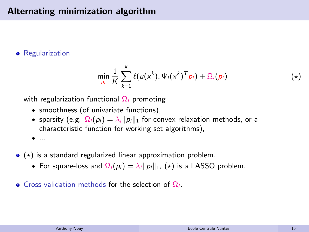**•** Regularization

<span id="page-19-0"></span>
$$
\min_{p_l} \frac{1}{K} \sum_{k=1}^K \ell(u(x^k), \Psi_l(x^k)^\mathsf{T} \rho_l) + \Omega_l(p_l) \tag{*}
$$

with regularization functional  $\Omega_l$  promoting

- smoothness (of univariate functions),
- sparsity (e.g.  $\Omega_l(p_l) = \lambda_l ||p_l||_1$  for convex relaxation methods, or a characteristic function for working set algorithms),
- ...
- $\bullet$  ( $\star$ ) is a standard regularized linear approximation problem.
	- For square-loss and  $\Omega_l(p_l) = \lambda_l ||p_l||_1$ , (\*) is a LASSO problem.
- Cross-validation methods for the selection of  $\Omega_l$ .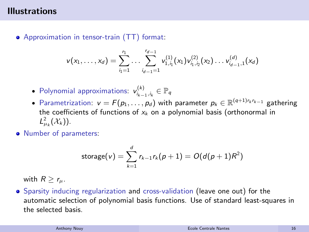# Illustrations

• Approximation in tensor-train (TT) format:

$$
v(x_1,\ldots,x_d)=\sum_{i_1=1}^{r_1}\ldots\sum_{i_{d-1}=1}^{r_{d-1}}v_{1,i_1}^{(1)}(x_1)v_{i_1,i_2}^{(2)}(x_2)\ldots v_{i_{d-1},1}^{(d)}(x_d)
$$

- Polynomial approximations:  $v_{i_{k-1},i_k}^{(k)} \in \mathbb{P}_q$
- Parametrization:  $v = F(p_1, \ldots, p_d)$  with parameter  $p_k \in \mathbb{R}^{(q+1)r_k r_{k-1}}$  gathering the coefficients of functions of  $x_k$  on a polynomial basis (orthonormal in  $L_{\mu_k}^2(\mathcal{X}_k)$ ).
- Number of parameters:

$$
storage(v) = \sum_{k=1}^{d} r_{k-1}r_k(p+1) = O(d(p+1)R^2)
$$

with  $R > r_{\mu}$ .

Sparsity inducing regularization and cross-validation (leave one out) for the automatic selection of polynomial basis functions. Use of standard least-squares in the selected basis.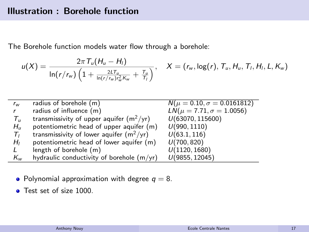The Borehole function models water flow through a borehole:

$$
u(X)=\frac{2\pi\,T_u(H_u-H_l)}{\ln(r/r_w)\left(1+\frac{2L\,T_u}{\ln(r/r_w)r_w^2K_w}+\frac{T_u}{T_l}\right)},\quad X=(r_w,\log(r),\,T_u,H_u,\,T_l,H_l,L,K_w)
$$

| $r_w$              | radius of borehole (m)                      | $N(\mu = 0.10, \sigma = 0.0161812)$ |
|--------------------|---------------------------------------------|-------------------------------------|
| $\mathbf{r}$       | radius of influence (m)                     | $LN(\mu = 7.71, \sigma = 1.0056)$   |
| $T_{\prime\prime}$ | transmissivity of upper aquifer $(m^2/yr)$  | U(63070, 115600)                    |
| $H_{\rm II}$       | potentiometric head of upper aquifer (m)    | U(990, 1110)                        |
| $T_{I}$            | transmissivity of lower aquifer $(m^2/yr)$  | U(63.1, 116)                        |
| $H_I$              | potentiometric head of lower aquifer (m)    | U(700, 820)                         |
| L                  | length of borehole (m)                      | U(1120, 1680)                       |
| $K_{w}$            | hydraulic conductivity of borehole $(m/yr)$ | U(9855, 12045)                      |

- Polynomial approximation with degree  $q = 8$ .
- **•** Test set of size 1000.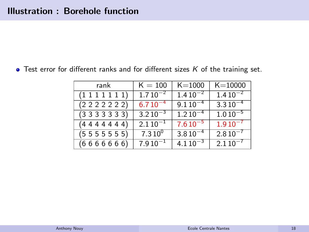$\bullet$  Test error for different ranks and for different sizes  $K$  of the training set.

| rank            | $K = 100$    | $K = 1000$   | $K = 10000$  |
|-----------------|--------------|--------------|--------------|
| (1111111)       | $1.710^{-2}$ | $1.410^{-2}$ | $1.410^{-2}$ |
| (2 2 2 2 2 2 2) | $6.710^{-4}$ | $9.110^{-4}$ | $3.310^{-4}$ |
| (3333333)       | $3.210^{-3}$ | $1.210^{-4}$ | $1.010^{-5}$ |
| (4444444)       | $2.110^{-1}$ | $7.610^{-5}$ | $1.910^{-7}$ |
| (5555555)       | $7.310^{0}$  | $3.810^{-4}$ | $2.810^{-7}$ |
| (6666666)       | $7.910^{-1}$ | $4.110^{-3}$ | $2.110^{-7}$ |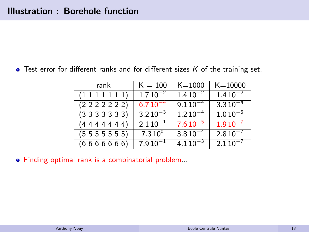$\bullet$  Test error for different ranks and for different sizes  $K$  of the training set.

| rank            | $K = 100$     | $K = 1000$   | $K = 10000$    |
|-----------------|---------------|--------------|----------------|
| (1111111)       | $1.7 10^{-2}$ | $1.410^{-2}$ | $1.410^{-2}$   |
| (2 2 2 2 2 2 2) | $6.710^{-4}$  | $9.110^{-4}$ | $3.310^{-4}$   |
| (3333333)       | $3.210^{-3}$  | $1.210^{-4}$ | $1.010^{-5}$   |
| (4444444)       | $2.110^{-1}$  | $7.610^{-5}$ | $1.910^{-7}$   |
| (5555555)       | $7.310^{0}$   | $3.810^{-4}$ | $2.8\,10^{-7}$ |
| (6666666)       | $7.910^{-1}$  | $4.110^{-3}$ | $2.110^{-7}$   |

Finding optimal rank is a combinatorial problem...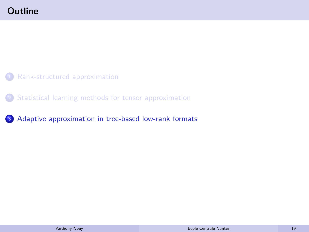- <span id="page-24-0"></span><sup>1</sup> [Rank-structured approximation](#page-4-0)
- <sup>2</sup> [Statistical learning methods for tensor approximation](#page-13-0)
- <sup>3</sup> [Adaptive approximation in tree-based low-rank formats](#page-24-0)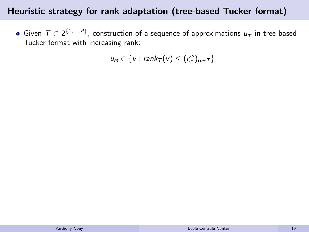# Heuristic strategy for rank adaptation (tree-based Tucker format)

Given  $T \subset 2^{\{1,\ldots,d\}}$ , construction of a sequence of approximations  $u_m$  in tree-based Tucker format with increasing rank:

 $u_m \in \{v : \text{rank}_\mathcal{T}(v) \leq (r_\alpha^m)_{\alpha \in \mathcal{T}}\}$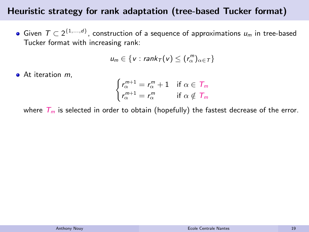# Heuristic strategy for rank adaptation (tree-based Tucker format)

Given  $T \subset 2^{\{1,\ldots,d\}}$ , construction of a sequence of approximations  $u_m$  in tree-based Tucker format with increasing rank:

$$
u_m \in \{v : \text{rank}_\mathcal{T}(v) \leq (r_\alpha^m)_{\alpha \in \mathcal{T}}\}
$$

 $\bullet$  At iteration  $m$ ,

$$
\begin{cases} r_{\alpha}^{m+1} = r_{\alpha}^{m} + 1 & \text{if } \alpha \in \mathcal{T}_{m} \\ r_{\alpha}^{m+1} = r_{\alpha}^{m} & \text{if } \alpha \notin \mathcal{T}_{m} \end{cases}
$$

where  $T_m$  is selected in order to obtain (hopefully) the fastest decrease of the error.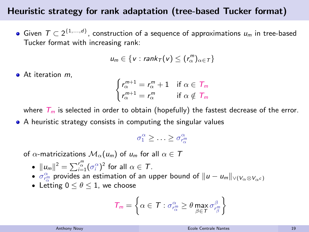# Heuristic strategy for rank adaptation (tree-based Tucker format)

Given  $T \subset 2^{\{1,\ldots,d\}}$ , construction of a sequence of approximations  $u_m$  in tree-based Tucker format with increasing rank:

$$
u_m \in \{v : \text{rank}_\mathcal{T}(v) \leq (r_\alpha^m)_{\alpha \in \mathcal{T}}\}
$$

 $\bullet$  At iteration  $m$ ,

$$
\begin{cases} r_{\alpha}^{m+1} = r_{\alpha}^{m} + 1 & \text{if } \alpha \in T_m \\ r_{\alpha}^{m+1} = r_{\alpha}^{m} & \text{if } \alpha \notin T_m \end{cases}
$$

where  $T_m$  is selected in order to obtain (hopefully) the fastest decrease of the error.

• A heuristic strategy consists in computing the singular values

$$
\sigma_1^{\alpha} \geq \ldots \geq \sigma_{r_{\alpha}}^{\alpha}
$$

of  $\alpha$ -matricizations  $\mathcal{M}_{\alpha}(u_m)$  of  $u_m$  for all  $\alpha \in \mathcal{T}$ 

- $\|u_m\|^2 = \sum_{i=1}^{r_\alpha^m} (\sigma_i^\alpha)^2$  for all  $\alpha \in \mathcal{T}$ .
- $\sigma_{r_\alpha^{\alpha}}^{\alpha}$  provides an estimation of an upper bound of  $\|u-u_m\|_{\vee (V_\alpha\otimes V_{\alpha^c})}$
- Letting  $0 \le \theta \le 1$ , we choose

$$
T_m = \left\{ \alpha \in T : \sigma_{r_\alpha^m}^{\alpha} \geq \theta \max_{\beta \in T} \sigma_{r_\beta^m}^{\beta} \right\}
$$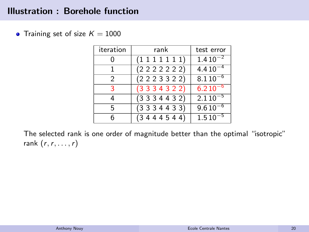# Illustration : Borehole function

• Training set of size  $K = 1000$ 

| iteration     | rank            | test error   |  |
|---------------|-----------------|--------------|--|
|               | (1111111)       | $1.410^{-2}$ |  |
|               | (222222)        | $4.410^{-4}$ |  |
| $\mathcal{P}$ | (2 2 2 3 3 2 2) | $8.110^{-6}$ |  |
| 3             | (3334322)       | $6.210^{-6}$ |  |
| 4             | (3334432)       | $2.110^{-5}$ |  |
| 5             | (3334433)       | $9.610^{-6}$ |  |
| 6             | (3444544)       | $1.510^{-5}$ |  |

The selected rank is one order of magnitude better than the optimal "isotropic" rank  $(r, r, \ldots, r)$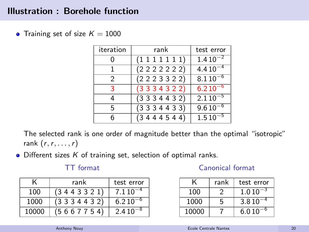# Illustration : Borehole function

• Training set of size  $K = 1000$ 

| iteration     | rank                 | test error     |
|---------------|----------------------|----------------|
|               | $(1\;1\;1\;1\;1\;1)$ | $1.410^{-2}$   |
|               | (2 2 2 2 2 2 2)      | $4.410^{-4}$   |
| $\mathcal{P}$ | (2 2 2 3 3 2 2)      | $8.110^{-6}$   |
| 3             | (3334322)            | $6.210^{-6}$   |
| 4             | (3334432)            | $2.110^{-5}$   |
| 5             | (3334433)            | $9.610^{-6}$   |
| 6             | (3444544)            | $1.5\,10^{-5}$ |

The selected rank is one order of magnitude better than the optimal "isotropic" rank  $(r, r, \ldots, r)$ 

 $\bullet$  Different sizes  $K$  of training set, selection of optimal ranks.

#### TT format

|       | rank      | test error   |
|-------|-----------|--------------|
| 100   | (3443321) | $7.110^{-4}$ |
| 1000  | (3334432) | $6.210^{-6}$ |
| 10000 | (5667754) | $2.410^{-8}$ |

#### Canonical format

|       | rank | test error |
|-------|------|------------|
| 100   | 2    | 1.010      |
| 1000  | 5    | 3.810      |
| 10000 |      | 6.010      |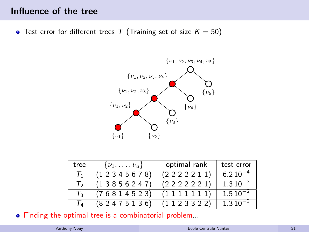# Influence of the tree

• Test error for different trees T (Training set of size  $K = 50$ )



| tree            | $\{\nu_1,\ldots,\nu_d\}$ | optimal rank    | test error   |
|-----------------|--------------------------|-----------------|--------------|
| $T_{1}$         | (1 2 3 4 5 6 7 8)        | (222211)        | $6.210^{-4}$ |
| $T_2$           | (13856247)               | (2 2 2 2 2 2 1) | $1.310^{-3}$ |
| $\mathcal{T}_3$ | (76814523)               | (1111111)       | $1.510^{-2}$ |
| T,              | (82475136)               | (1123322)       | $1.310^{-2}$ |

Finding the optimal tree is a combinatorial problem...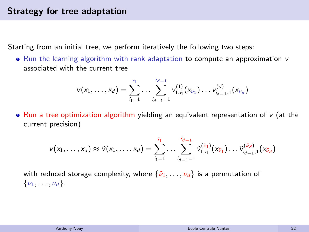Starting from an initial tree, we perform iteratively the following two steps:

• Run the learning algorithm with rank adaptation to compute an approximation v associated with the current tree

$$
v(x_1,\ldots,x_d)=\sum_{i_1=1}^{r_1}\ldots\sum_{i_{d-1}=1}^{r_{d-1}}v_{1,i_1}^{(1)}(x_{\nu_1})\ldots v_{i_{d-1},1}^{(d)}(x_{\nu_d})
$$

• Run a tree optimization algorithm yielding an equivalent representation of  $v$  (at the current precision)

$$
\mathsf{v}(x_1,\ldots,x_d) \approx \tilde{\mathsf{v}}(x_1,\ldots,x_d) = \sum_{i_1=1}^{\tilde{r}_1} \ldots \sum_{i_{d-1}=1}^{\tilde{r}_{d-1}} \tilde{\mathsf{v}}_{1,i_1}^{(\tilde{\nu}_1)}(x_{\tilde{\nu}_1}) \ldots \tilde{\mathsf{v}}_{i_{d-1},1}^{(\tilde{\nu}_d)}(x_{\tilde{\nu}_d})
$$

with reduced storage complexity, where  $\{\tilde{\nu}_1, \ldots, \nu_d\}$  is a permutation of  $\{\nu_1, \ldots, \nu_d\}$ .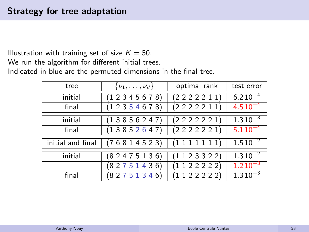Illustration with training set of size  $K = 50$ .

We run the algorithm for different initial trees.

Indicated in blue are the permuted dimensions in the final tree.

| $\{\nu_1,\ldots,\nu_d\}$<br>tree |                   | optimal rank  | test error   |
|----------------------------------|-------------------|---------------|--------------|
| initial                          | (12345678)        | (222211)      | $6.210^{-4}$ |
| final                            | (1 2 3 5 4 6 7 8) | (222211)      | $4.510^{-4}$ |
| initial                          | (13856247)        | (222221)      | $1.310^{-3}$ |
| final                            | (13852647)        | (2 2 2 2 2 1) | $5.110^{-4}$ |
| initial and final                | (76814523)        | (1111111)     | $1.510^{-2}$ |
| initial                          | (82475136)        | (1123322)     | $1.310^{-2}$ |
|                                  | (82751436)        | (112222)      | $1.210^{-3}$ |
| final                            | (82751346)        | (1122222)     | $1.310^{-3}$ |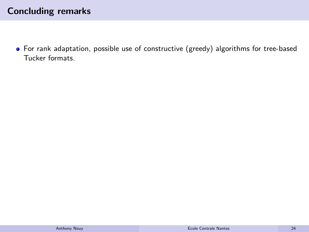# Concluding remarks

For rank adaptation, possible use of constructive (greedy) algorithms for tree-based Tucker formats.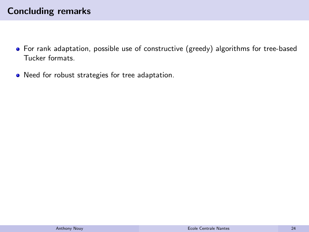- For rank adaptation, possible use of constructive (greedy) algorithms for tree-based Tucker formats.
- Need for robust strategies for tree adaptation.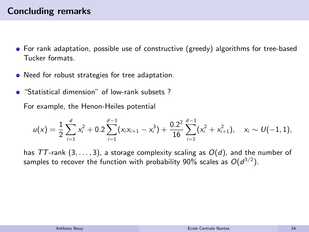- For rank adaptation, possible use of constructive (greedy) algorithms for tree-based Tucker formats.
- Need for robust strategies for tree adaptation.
- **•** "Statistical dimension" of low-rank subsets?

For example, the Henon-Heiles potential

$$
u(x) = \frac{1}{2}\sum_{i=1}^d x_i^2 + 0.2\sum_{i=1}^{d-1} (x_i x_{i+1} - x_i^3) + \frac{0.2^2}{16}\sum_{i=1}^{d-1} (x_i^2 + x_{i+1}^2), \quad x_i \sim U(-1,1),
$$

has TT-rank  $(3, \ldots, 3)$ , a storage complexity scaling as  $O(d)$ , and the number of samples to recover the function with probability 90% scales as  $O(d^{3/2}).$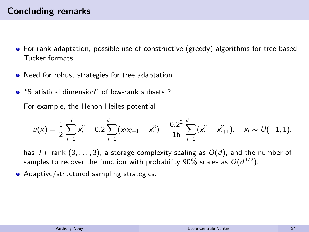- For rank adaptation, possible use of constructive (greedy) algorithms for tree-based Tucker formats.
- Need for robust strategies for tree adaptation.
- **•** "Statistical dimension" of low-rank subsets?

For example, the Henon-Heiles potential

$$
u(x) = \frac{1}{2}\sum_{i=1}^d x_i^2 + 0.2\sum_{i=1}^{d-1} (x_i x_{i+1} - x_i^3) + \frac{0.2^2}{16}\sum_{i=1}^{d-1} (x_i^2 + x_{i+1}^2), \quad x_i \sim U(-1,1),
$$

has TT-rank  $(3, \ldots, 3)$ , a storage complexity scaling as  $O(d)$ , and the number of samples to recover the function with probability 90% scales as  $O(d^{3/2}).$ 

Adaptive/structured sampling strategies.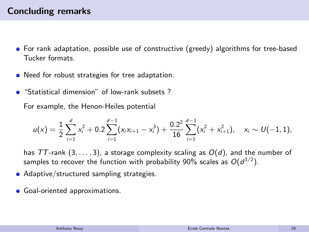- For rank adaptation, possible use of constructive (greedy) algorithms for tree-based Tucker formats.
- Need for robust strategies for tree adaptation.
- "Statistical dimension" of low-rank subsets ?

For example, the Henon-Heiles potential

$$
u(x) = \frac{1}{2}\sum_{i=1}^d x_i^2 + 0.2\sum_{i=1}^{d-1} (x_i x_{i+1} - x_i^3) + \frac{0.2^2}{16}\sum_{i=1}^{d-1} (x_i^2 + x_{i+1}^2), \quad x_i \sim U(-1,1),
$$

has TT-rank  $(3, \ldots, 3)$ , a storage complexity scaling as  $O(d)$ , and the number of samples to recover the function with probability 90% scales as  $O(d^{3/2}).$ 

- Adaptive/structured sampling strategies.
- **•** Goal-oriented approximations.